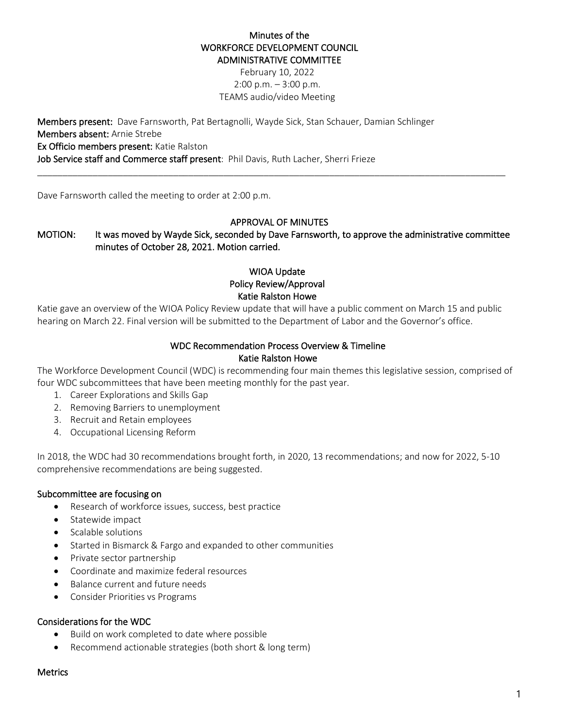### Minutes of the WORKFORCE DEVELOPMENT COUNCIL ADMINISTRATIVE COMMITTEE

February 10, 2022  $2:00$  p.m.  $-3:00$  p.m. TEAMS audio/video Meeting

Members present: Dave Farnsworth, Pat Bertagnolli, Wayde Sick, Stan Schauer, Damian Schlinger Members absent: Arnie Strebe Ex Officio members present: Katie Ralston Job Service staff and Commerce staff present: Phil Davis, Ruth Lacher, Sherri Frieze

Dave Farnsworth called the meeting to order at 2:00 p.m.

### APPROVAL OF MINUTES

# MOTION: It was moved by Wayde Sick, seconded by Dave Farnsworth, to approve the administrative committee minutes of October 28, 2021. Motion carried.

\_\_\_\_\_\_\_\_\_\_\_\_\_\_\_\_\_\_\_\_\_\_\_\_\_\_\_\_\_\_\_\_\_\_\_\_\_\_\_\_\_\_\_\_\_\_\_\_\_\_\_\_\_\_\_\_\_\_\_\_\_\_\_\_\_\_\_\_\_\_\_\_\_\_\_\_\_\_\_\_\_\_\_\_\_\_\_\_\_\_\_\_\_

## WIOA Update Policy Review/Approval Katie Ralston Howe

Katie gave an overview of the WIOA Policy Review update that will have a public comment on March 15 and public hearing on March 22. Final version will be submitted to the Department of Labor and the Governor's office.

### WDC Recommendation Process Overview & Timeline Katie Ralston Howe

The Workforce Development Council (WDC) is recommending four main themes this legislative session, comprised of four WDC subcommittees that have been meeting monthly for the past year.

- 1. Career Explorations and Skills Gap
- 2. Removing Barriers to unemployment
- 3. Recruit and Retain employees
- 4. Occupational Licensing Reform

In 2018, the WDC had 30 recommendations brought forth, in 2020, 13 recommendations; and now for 2022, 5-10 comprehensive recommendations are being suggested.

### Subcommittee are focusing on

- Research of workforce issues, success, best practice
- Statewide impact
- Scalable solutions
- Started in Bismarck & Fargo and expanded to other communities
- Private sector partnership
- Coordinate and maximize federal resources
- Balance current and future needs
- Consider Priorities vs Programs

### Considerations for the WDC

- Build on work completed to date where possible
- Recommend actionable strategies (both short & long term)

#### **Metrics**